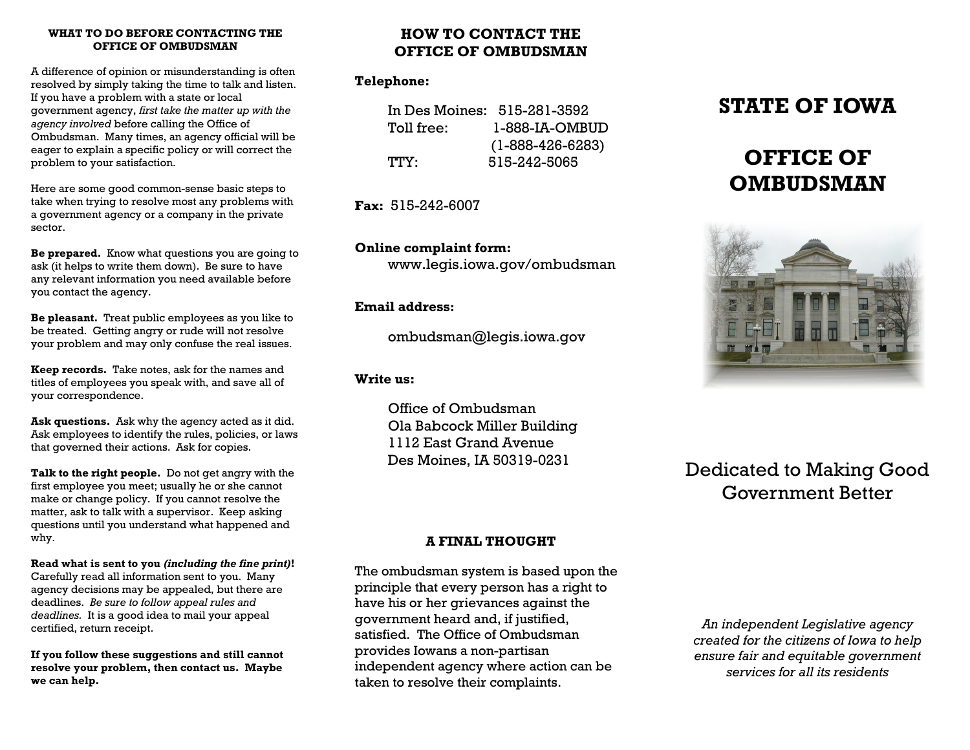#### **WHAT TO DO BEFORE CONTACTING THE OFFICE OF OMBUDSMAN**

A difference of opinion or misunderstanding is often resolved by simply taking the time to talk and listen. If you have a problem with a state or local government agency, *first take the matter up with the agency involved* before calling the Office of Ombudsman. Many times, an agency official will be eager to explain a specific policy or will correct the problem to your satisfaction.

Here are some good common-sense basic steps to take when trying to resolve most any problems with a government agency or a company in the private sector.

**Be prepared.** Know what questions you are going to ask (it helps to write them down). Be sure to have any relevant information you need available before you contact the agency.

**Be pleasant.** Treat public employees as you like to be treated. Getting angry or rude will not resolve your problem and may only confuse the real issues.

**Keep records.** Take notes, ask for the names and titles of employees you speak with, and save all of your correspondence.

**Ask questions.** Ask why the agency acted as it did. Ask employees to identify the rules, policies, or laws that governed their actions. Ask for copies.

**Talk to the right people.** Do not get angry with the first employee you meet; usually he or she cannot make or change policy. If you cannot resolve the matter, ask to talk with a supervisor. Keep asking questions until you understand what happened and why.

**Read what is sent to you** *(including the fine print)***!**  Carefully read all information sent to you. Many agency decisions may be appealed, but there are deadlines. *Be sure to follow appeal rules and deadlines.* It is a good idea to mail your appeal certified, return receipt.

**If you follow these suggestions and still cannot resolve your problem, then contact us. Maybe we can help.**

## **HOW TO CONTACT THE OFFICE OF OMBUDSMAN**

### **Telephone:**

|            | In Des Moines: 515-281-3592 |
|------------|-----------------------------|
| Toll free: | 1-888-IA-OMBUD              |
|            | $(1 - 888 - 426 - 6283)$    |
| TTY:       | 515-242-5065                |

**Fax:** 515-242-6007

**Online complaint form:** 

www.legis.iowa.gov/ombudsman

## **Email address:**

ombudsman@legis.iowa.gov

## **Write us:**

Office of Ombudsman Ola Babcock Miller Building 1112 East Grand Avenue Des Moines, IA 50319-0231

## **STATE OF IOWA**

# **OFFICE OF OMBUDSMAN**



Dedicated to Making Good Government Better

## **A FINAL THOUGHT**

The ombudsman system is based upon the principle that every person has a right to have his or her grievances against the government heard and, if justified, satisfied. The Office of Ombudsman provides Iowans a non-partisan independent agency where action can be taken to resolve their complaints.

*An independent Legislative agency created for the citizens of Iowa to help ensure fair and equitable government services for all its residents*